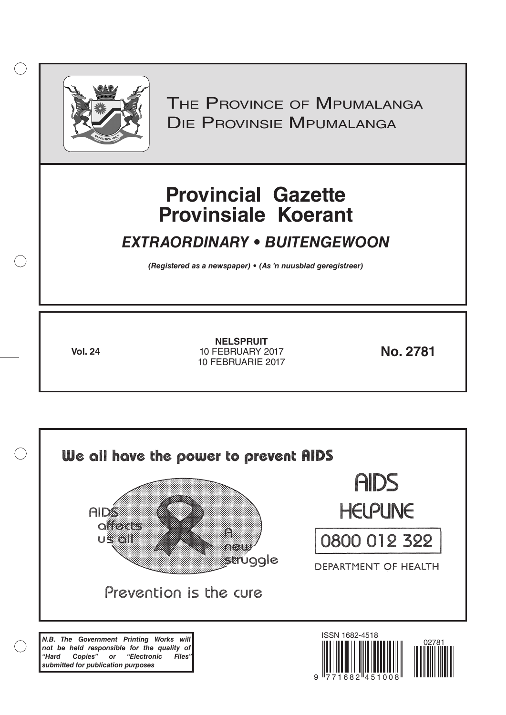

 $( )$ 

THE PROVINCE OF MPUMALANGA Die Provinsie Mpumalanga

# **Provincial Gazette Provinsiale Koerant**

# *EXTRAORDINARY • BUITENGEWOON*

*(Registered as a newspaper) • (As 'n nuusblad geregistreer)*

**Vol. 24 No. 2781** 10 FEBRUARY 2017 **NELSPRUIT** 10 FEBRUARIE 2017

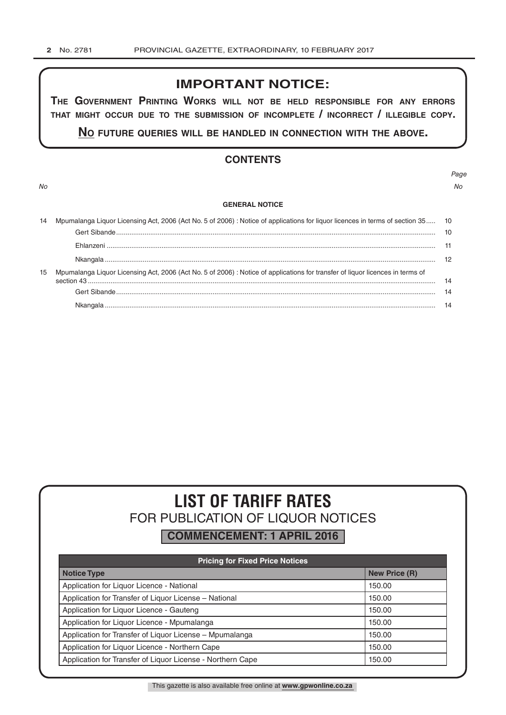# **IMPORTANT NOTICE:**

**The GovernmenT PrinTinG Works Will noT be held resPonsible for any errors ThaT miGhT occur due To The submission of incomPleTe / incorrecT / illeGible coPy.**

**no fuTure queries Will be handled in connecTion WiTh The above.**

# **CONTENTS**

*Page No No*

#### **GENERAL NOTICE**

|    | Mpumalanga Liquor Licensing Act, 2006 (Act No. 5 of 2006) : Notice of applications for liquor licences in terms of section 35 10 |    |  |  |  |
|----|----------------------------------------------------------------------------------------------------------------------------------|----|--|--|--|
|    |                                                                                                                                  |    |  |  |  |
|    |                                                                                                                                  |    |  |  |  |
|    |                                                                                                                                  |    |  |  |  |
| 15 | Mpumalanga Liquor Licensing Act, 2006 (Act No. 5 of 2006) : Notice of applications for transfer of liquor licences in terms of   |    |  |  |  |
|    |                                                                                                                                  | 14 |  |  |  |
|    |                                                                                                                                  | 14 |  |  |  |

# **LIST OF TARIFF RATES** FOR PUBLICATION OF LIQUOR NOTICES

**COMMENCEMENT: 1 APRIL 2016**

| <b>Pricing for Fixed Price Notices</b>                     |                      |  |  |  |
|------------------------------------------------------------|----------------------|--|--|--|
| <b>Notice Type</b>                                         | <b>New Price (R)</b> |  |  |  |
| Application for Liquor Licence - National                  | 150.00               |  |  |  |
| Application for Transfer of Liquor License - National      | 150.00               |  |  |  |
| Application for Liquor Licence - Gauteng                   | 150.00               |  |  |  |
| Application for Liquor Licence - Mpumalanga                | 150.00               |  |  |  |
| Application for Transfer of Liquor License - Mpumalanga    | 150.00               |  |  |  |
| Application for Liquor Licence - Northern Cape             | 150.00               |  |  |  |
| Application for Transfer of Liquor License - Northern Cape | 150.00               |  |  |  |

This gazette is also available free online at **www.gpwonline.co.za**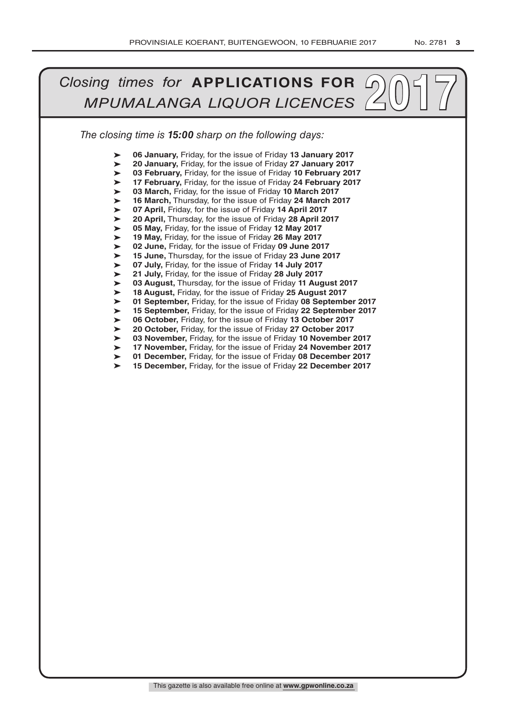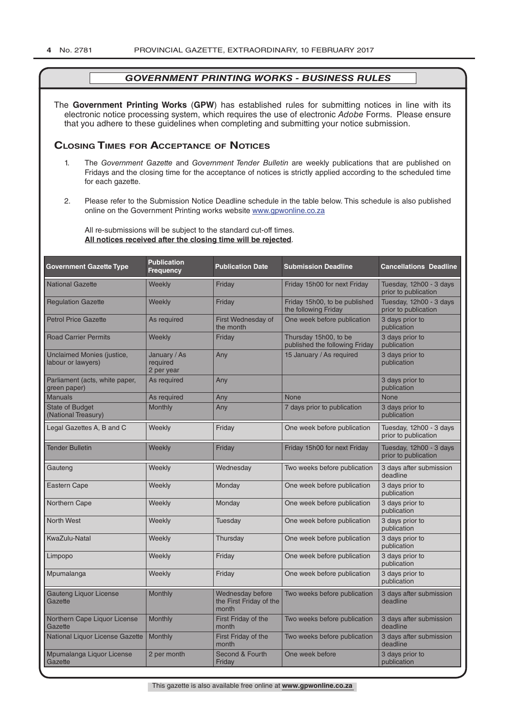The **Government Printing Works** (**GPW**) has established rules for submitting notices in line with its electronic notice processing system, which requires the use of electronic *Adobe* Forms. Please ensure that you adhere to these guidelines when completing and submitting your notice submission.

# **Closing Times for ACCepTAnCe of noTiCes**

- 1. The *Government Gazette* and *Government Tender Bulletin* are weekly publications that are published on Fridays and the closing time for the acceptance of notices is strictly applied according to the scheduled time for each gazette.
- 2. Please refer to the Submission Notice Deadline schedule in the table below. This schedule is also published online on the Government Printing works website www.gpwonline.co.za

All re-submissions will be subject to the standard cut-off times. **All notices received after the closing time will be rejected**.

| <b>Government Gazette Type</b>                          | <b>Publication</b><br><b>Frequency</b> | <b>Publication Date</b>                              | <b>Submission Deadline</b>                              | <b>Cancellations Deadline</b>                   |
|---------------------------------------------------------|----------------------------------------|------------------------------------------------------|---------------------------------------------------------|-------------------------------------------------|
| <b>National Gazette</b>                                 | Weekly                                 | Friday                                               | Friday 15h00 for next Friday                            | Tuesday, 12h00 - 3 days<br>prior to publication |
| <b>Regulation Gazette</b>                               | Weekly                                 | Friday                                               | Friday 15h00, to be published<br>the following Friday   | Tuesday, 12h00 - 3 days<br>prior to publication |
| <b>Petrol Price Gazette</b>                             | As required                            | First Wednesday of<br>the month                      | One week before publication                             | 3 days prior to<br>publication                  |
| <b>Road Carrier Permits</b>                             | Weekly                                 | Friday                                               | Thursday 15h00, to be<br>published the following Friday | 3 days prior to<br>publication                  |
| <b>Unclaimed Monies (justice,</b><br>labour or lawyers) | January / As<br>required<br>2 per year | Any                                                  | 15 January / As required                                | 3 days prior to<br>publication                  |
| Parliament (acts, white paper,<br>green paper)          | As required                            | Any                                                  |                                                         | 3 days prior to<br>publication                  |
| <b>Manuals</b>                                          | As required                            | Any                                                  | <b>None</b>                                             | <b>None</b>                                     |
| <b>State of Budget</b><br>(National Treasury)           | <b>Monthly</b>                         | Any                                                  | 7 days prior to publication                             | 3 days prior to<br>publication                  |
| Legal Gazettes A, B and C                               | Weekly                                 | Friday                                               | One week before publication                             | Tuesday, 12h00 - 3 days<br>prior to publication |
| <b>Tender Bulletin</b>                                  | Weekly                                 | Friday                                               | Friday 15h00 for next Friday                            | Tuesday, 12h00 - 3 days<br>prior to publication |
| Gauteng                                                 | Weekly                                 | Wednesday                                            | Two weeks before publication                            | 3 days after submission<br>deadline             |
| <b>Eastern Cape</b>                                     | Weekly                                 | Monday                                               | One week before publication                             | 3 days prior to<br>publication                  |
| Northern Cape                                           | Weekly                                 | Monday                                               | One week before publication                             | 3 days prior to<br>publication                  |
| <b>North West</b>                                       | Weekly                                 | Tuesday                                              | One week before publication                             | 3 days prior to<br>publication                  |
| KwaZulu-Natal                                           | Weekly                                 | Thursday                                             | One week before publication                             | 3 days prior to<br>publication                  |
| Limpopo                                                 | Weekly                                 | Friday                                               | One week before publication                             | 3 days prior to<br>publication                  |
| Mpumalanga                                              | Weekly                                 | Friday                                               | One week before publication                             | 3 days prior to<br>publication                  |
| <b>Gauteng Liquor License</b><br>Gazette                | Monthly                                | Wednesday before<br>the First Friday of the<br>month | Two weeks before publication                            | 3 days after submission<br>deadline             |
| Northern Cape Liquor License<br>Gazette                 | Monthly                                | First Friday of the<br>month                         | Two weeks before publication                            | 3 days after submission<br>deadline             |
| National Liquor License Gazette                         | Monthly                                | First Friday of the<br>month                         | Two weeks before publication                            | 3 days after submission<br>deadline             |
| Mpumalanga Liquor License<br>Gazette                    | 2 per month                            | Second & Fourth<br>Friday                            | One week before                                         | 3 days prior to<br>publication                  |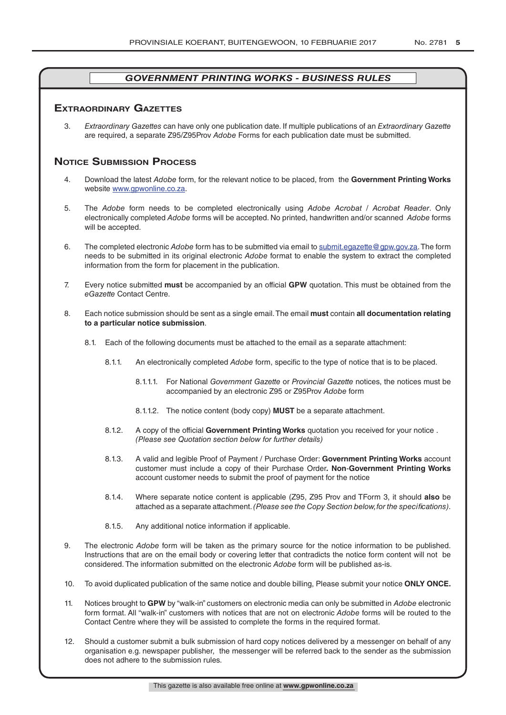# **exTrAordinAry gAzeTTes**

3. *Extraordinary Gazettes* can have only one publication date. If multiple publications of an *Extraordinary Gazette* are required, a separate Z95/Z95Prov *Adobe* Forms for each publication date must be submitted.

# **NOTICE SUBMISSION PROCESS**

- 4. Download the latest *Adobe* form, for the relevant notice to be placed, from the **Government Printing Works** website www.gpwonline.co.za.
- 5. The *Adobe* form needs to be completed electronically using *Adobe Acrobat* / *Acrobat Reader*. Only electronically completed *Adobe* forms will be accepted. No printed, handwritten and/or scanned *Adobe* forms will be accepted.
- 6. The completed electronic *Adobe* form has to be submitted via email to submit.egazette@gpw.gov.za. The form needs to be submitted in its original electronic *Adobe* format to enable the system to extract the completed information from the form for placement in the publication.
- 7. Every notice submitted **must** be accompanied by an official **GPW** quotation. This must be obtained from the *eGazette* Contact Centre.
- 8. Each notice submission should be sent as a single email. The email **must** contain **all documentation relating to a particular notice submission**.
	- 8.1. Each of the following documents must be attached to the email as a separate attachment:
		- 8.1.1. An electronically completed *Adobe* form, specific to the type of notice that is to be placed.
			- 8.1.1.1. For National *Government Gazette* or *Provincial Gazette* notices, the notices must be accompanied by an electronic Z95 or Z95Prov *Adobe* form
			- 8.1.1.2. The notice content (body copy) **MUST** be a separate attachment.
		- 8.1.2. A copy of the official **Government Printing Works** quotation you received for your notice . *(Please see Quotation section below for further details)*
		- 8.1.3. A valid and legible Proof of Payment / Purchase Order: **Government Printing Works** account customer must include a copy of their Purchase Order*.* **Non**-**Government Printing Works** account customer needs to submit the proof of payment for the notice
		- 8.1.4. Where separate notice content is applicable (Z95, Z95 Prov and TForm 3, it should **also** be attached as a separate attachment. *(Please see the Copy Section below, for the specifications)*.
		- 8.1.5. Any additional notice information if applicable.
- 9. The electronic *Adobe* form will be taken as the primary source for the notice information to be published. Instructions that are on the email body or covering letter that contradicts the notice form content will not be considered. The information submitted on the electronic *Adobe* form will be published as-is.
- 10. To avoid duplicated publication of the same notice and double billing, Please submit your notice **ONLY ONCE.**
- 11. Notices brought to **GPW** by "walk-in" customers on electronic media can only be submitted in *Adobe* electronic form format. All "walk-in" customers with notices that are not on electronic *Adobe* forms will be routed to the Contact Centre where they will be assisted to complete the forms in the required format.
- 12. Should a customer submit a bulk submission of hard copy notices delivered by a messenger on behalf of any organisation e.g. newspaper publisher, the messenger will be referred back to the sender as the submission does not adhere to the submission rules.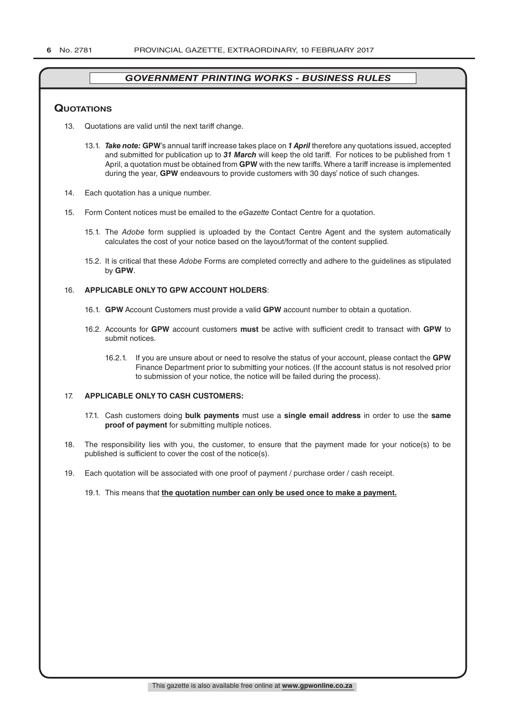# **QuoTATions**

- 13. Quotations are valid until the next tariff change.
	- 13.1. *Take note:* **GPW**'s annual tariff increase takes place on *1 April* therefore any quotations issued, accepted and submitted for publication up to *31 March* will keep the old tariff. For notices to be published from 1 April, a quotation must be obtained from **GPW** with the new tariffs. Where a tariff increase is implemented during the year, **GPW** endeavours to provide customers with 30 days' notice of such changes.
- 14. Each quotation has a unique number.
- 15. Form Content notices must be emailed to the *eGazette* Contact Centre for a quotation.
	- 15.1. The *Adobe* form supplied is uploaded by the Contact Centre Agent and the system automatically calculates the cost of your notice based on the layout/format of the content supplied.
	- 15.2. It is critical that these *Adobe* Forms are completed correctly and adhere to the guidelines as stipulated by **GPW**.

# 16. **APPLICABLE ONLY TO GPW ACCOUNT HOLDERS**:

- 16.1. **GPW** Account Customers must provide a valid **GPW** account number to obtain a quotation.
- 16.2. Accounts for **GPW** account customers **must** be active with sufficient credit to transact with **GPW** to submit notices.
	- 16.2.1. If you are unsure about or need to resolve the status of your account, please contact the **GPW** Finance Department prior to submitting your notices. (If the account status is not resolved prior to submission of your notice, the notice will be failed during the process).

# 17. **APPLICABLE ONLY TO CASH CUSTOMERS:**

- 17.1. Cash customers doing **bulk payments** must use a **single email address** in order to use the **same proof of payment** for submitting multiple notices.
- 18. The responsibility lies with you, the customer, to ensure that the payment made for your notice(s) to be published is sufficient to cover the cost of the notice(s).
- 19. Each quotation will be associated with one proof of payment / purchase order / cash receipt.

#### 19.1. This means that **the quotation number can only be used once to make a payment.**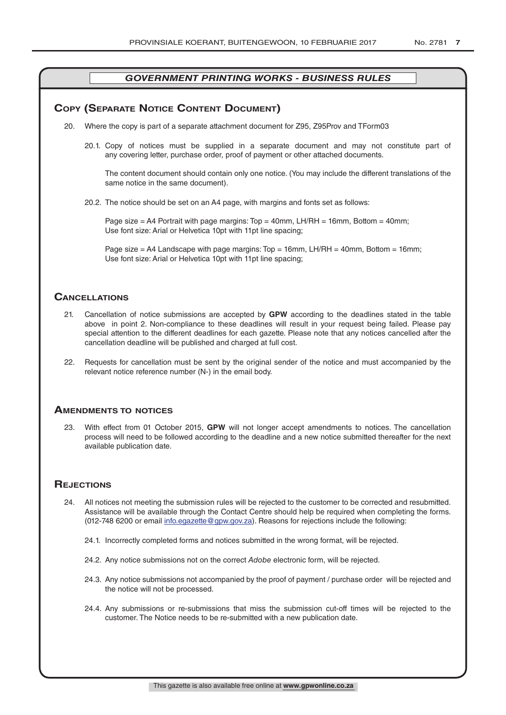# **COPY (SEPARATE NOTICE CONTENT DOCUMENT)**

- 20. Where the copy is part of a separate attachment document for Z95, Z95Prov and TForm03
	- 20.1. Copy of notices must be supplied in a separate document and may not constitute part of any covering letter, purchase order, proof of payment or other attached documents.

The content document should contain only one notice. (You may include the different translations of the same notice in the same document).

20.2. The notice should be set on an A4 page, with margins and fonts set as follows:

Page size  $=$  A4 Portrait with page margins: Top  $=$  40mm, LH/RH  $=$  16mm, Bottom  $=$  40mm; Use font size: Arial or Helvetica 10pt with 11pt line spacing;

Page size = A4 Landscape with page margins: Top = 16mm, LH/RH = 40mm, Bottom = 16mm; Use font size: Arial or Helvetica 10pt with 11pt line spacing;

# **CAnCellATions**

- 21. Cancellation of notice submissions are accepted by **GPW** according to the deadlines stated in the table above in point 2. Non-compliance to these deadlines will result in your request being failed. Please pay special attention to the different deadlines for each gazette. Please note that any notices cancelled after the cancellation deadline will be published and charged at full cost.
- 22. Requests for cancellation must be sent by the original sender of the notice and must accompanied by the relevant notice reference number (N-) in the email body.

# **AmendmenTs To noTiCes**

23. With effect from 01 October 2015, **GPW** will not longer accept amendments to notices. The cancellation process will need to be followed according to the deadline and a new notice submitted thereafter for the next available publication date.

# **REJECTIONS**

- 24. All notices not meeting the submission rules will be rejected to the customer to be corrected and resubmitted. Assistance will be available through the Contact Centre should help be required when completing the forms. (012-748 6200 or email info.egazette@gpw.gov.za). Reasons for rejections include the following:
	- 24.1. Incorrectly completed forms and notices submitted in the wrong format, will be rejected.
	- 24.2. Any notice submissions not on the correct *Adobe* electronic form, will be rejected.
	- 24.3. Any notice submissions not accompanied by the proof of payment / purchase order will be rejected and the notice will not be processed.
	- 24.4. Any submissions or re-submissions that miss the submission cut-off times will be rejected to the customer. The Notice needs to be re-submitted with a new publication date.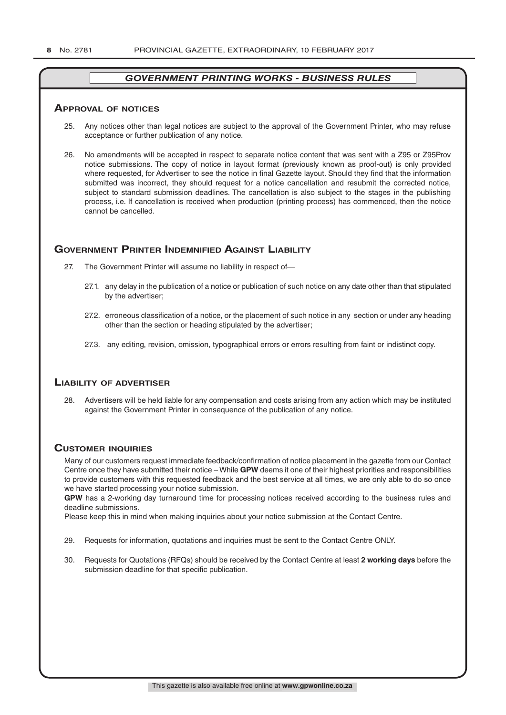#### **ApprovAl of noTiCes**

- 25. Any notices other than legal notices are subject to the approval of the Government Printer, who may refuse acceptance or further publication of any notice.
- 26. No amendments will be accepted in respect to separate notice content that was sent with a Z95 or Z95Prov notice submissions. The copy of notice in layout format (previously known as proof-out) is only provided where requested, for Advertiser to see the notice in final Gazette layout. Should they find that the information submitted was incorrect, they should request for a notice cancellation and resubmit the corrected notice, subject to standard submission deadlines. The cancellation is also subject to the stages in the publishing process, i.e. If cancellation is received when production (printing process) has commenced, then the notice cannot be cancelled.

# **governmenT prinTer indemnified AgAinsT liAbiliTy**

- 27. The Government Printer will assume no liability in respect of—
	- 27.1. any delay in the publication of a notice or publication of such notice on any date other than that stipulated by the advertiser;
	- 27.2. erroneous classification of a notice, or the placement of such notice in any section or under any heading other than the section or heading stipulated by the advertiser;
	- 27.3. any editing, revision, omission, typographical errors or errors resulting from faint or indistinct copy.

# **liAbiliTy of AdverTiser**

28. Advertisers will be held liable for any compensation and costs arising from any action which may be instituted against the Government Printer in consequence of the publication of any notice.

# **CusTomer inQuiries**

Many of our customers request immediate feedback/confirmation of notice placement in the gazette from our Contact Centre once they have submitted their notice – While **GPW** deems it one of their highest priorities and responsibilities to provide customers with this requested feedback and the best service at all times, we are only able to do so once we have started processing your notice submission.

**GPW** has a 2-working day turnaround time for processing notices received according to the business rules and deadline submissions.

Please keep this in mind when making inquiries about your notice submission at the Contact Centre.

- 29. Requests for information, quotations and inquiries must be sent to the Contact Centre ONLY.
- 30. Requests for Quotations (RFQs) should be received by the Contact Centre at least **2 working days** before the submission deadline for that specific publication.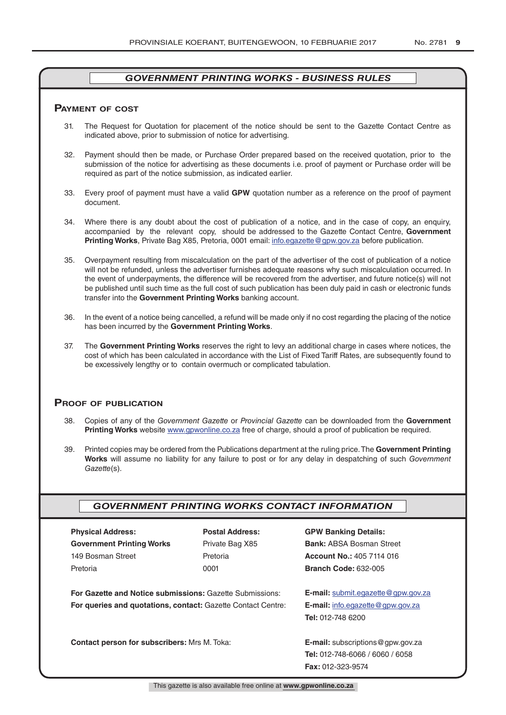# **pAymenT of CosT**

- 31. The Request for Quotation for placement of the notice should be sent to the Gazette Contact Centre as indicated above, prior to submission of notice for advertising.
- 32. Payment should then be made, or Purchase Order prepared based on the received quotation, prior to the submission of the notice for advertising as these documents i.e. proof of payment or Purchase order will be required as part of the notice submission, as indicated earlier.
- 33. Every proof of payment must have a valid **GPW** quotation number as a reference on the proof of payment document.
- 34. Where there is any doubt about the cost of publication of a notice, and in the case of copy, an enquiry, accompanied by the relevant copy, should be addressed to the Gazette Contact Centre, **Government Printing Works**, Private Bag X85, Pretoria, 0001 email: info.egazette@gpw.gov.za before publication.
- 35. Overpayment resulting from miscalculation on the part of the advertiser of the cost of publication of a notice will not be refunded, unless the advertiser furnishes adequate reasons why such miscalculation occurred. In the event of underpayments, the difference will be recovered from the advertiser, and future notice(s) will not be published until such time as the full cost of such publication has been duly paid in cash or electronic funds transfer into the **Government Printing Works** banking account.
- 36. In the event of a notice being cancelled, a refund will be made only if no cost regarding the placing of the notice has been incurred by the **Government Printing Works**.
- 37. The **Government Printing Works** reserves the right to levy an additional charge in cases where notices, the cost of which has been calculated in accordance with the List of Fixed Tariff Rates, are subsequently found to be excessively lengthy or to contain overmuch or complicated tabulation.

# **proof of publiCATion**

- 38. Copies of any of the *Government Gazette* or *Provincial Gazette* can be downloaded from the **Government Printing Works** website www.gpwonline.co.za free of charge, should a proof of publication be required.
- 39. Printed copies may be ordered from the Publications department at the ruling price. The **Government Printing Works** will assume no liability for any failure to post or for any delay in despatching of such *Government Gazette*(s).

# *GOVERNMENT PRINTING WORKS CONTACT INFORMATION*

| <b>Physical Address:</b>         |  |  |  |  |
|----------------------------------|--|--|--|--|
| <b>Government Printing Works</b> |  |  |  |  |
| 149 Bosman Street                |  |  |  |  |
| Pretoria                         |  |  |  |  |

**For Gazette and Notice submissions:** Gazette Submissions: **E-mail:** submit.egazette@gpw.gov.za **For queries and quotations, contact:** Gazette Contact Centre: **E-mail:** info.egazette@gpw.gov.za

**Contact person for subscribers:** Mrs M. Toka: **E-mail:** subscriptions@gpw.gov.za

# **Physical Address: Postal Address: GPW Banking Details:**

Private Bag X85 **Bank:** ABSA Bosman Street 149 Bosman Street Pretoria **Account No.:** 405 7114 016 Pretoria 0001 **Branch Code:** 632-005

**Tel:** 012-748 6200

**Tel:** 012-748-6066 / 6060 / 6058 **Fax:** 012-323-9574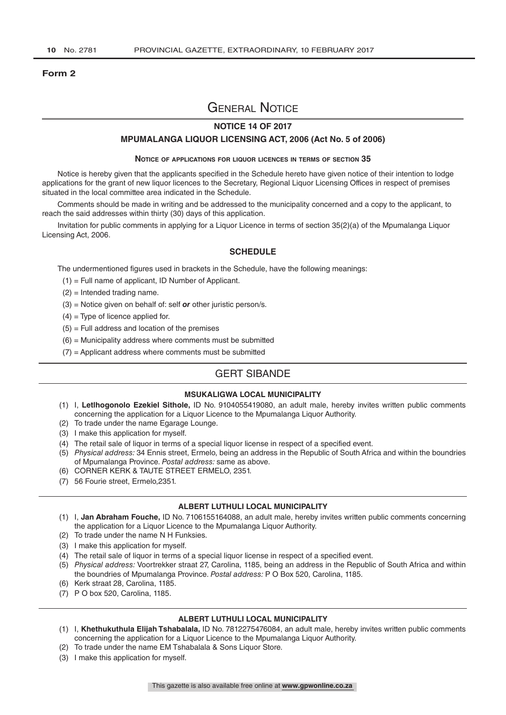#### **Form 2**

# General Notice

# **NOTICE 14 OF 2017**

#### **MPUMALANGA LIQUOR LICENSING ACT, 2006 (Act No. 5 of 2006)**

#### **Notice of applications for liquor licences in terms of section 35**

Notice is hereby given that the applicants specified in the Schedule hereto have given notice of their intention to lodge applications for the grant of new liquor licences to the Secretary, Regional Liquor Licensing Offices in respect of premises situated in the local committee area indicated in the Schedule.

Comments should be made in writing and be addressed to the municipality concerned and a copy to the applicant, to reach the said addresses within thirty (30) days of this application.

Invitation for public comments in applying for a Liquor Licence in terms of section 35(2)(a) of the Mpumalanga Liquor Licensing Act, 2006.

#### **SCHEDULE**

The undermentioned figures used in brackets in the Schedule, have the following meanings:

- (1) = Full name of applicant, ID Number of Applicant.
- (2) = Intended trading name.
- (3) = Notice given on behalf of: self *or* other juristic person/s.
- $(4)$  = Type of licence applied for.
- $(5)$  = Full address and location of the premises
- $(6)$  = Municipality address where comments must be submitted
- $(7)$  = Applicant address where comments must be submitted

# GERT SIBANDE

## **MSUKALIGWA LOCAL MUNICIPALITY**

- (1) I, **Letlhogonolo Ezekiel Sithole,** ID No. 9104055419080, an adult male, hereby invites written public comments concerning the application for a Liquor Licence to the Mpumalanga Liquor Authority.
- (2) To trade under the name Egarage Lounge.
- (3) I make this application for myself.
- (4) The retail sale of liquor in terms of a special liquor license in respect of a specified event.
- (5) *Physical address:* 34 Ennis street, Ermelo, being an address in the Republic of South Africa and within the boundries of Mpumalanga Province. *Postal address:* same as above.
- (6) CORNER KERK & TAUTE STREET ERMELO, 2351.
- (7) 56 Fourie street, Ermelo,2351.

#### **ALBERT LUTHULI LOCAL MUNICIPALITY**

- (1) I, **Jan Abraham Fouche,** ID No. 7106155164088, an adult male, hereby invites written public comments concerning the application for a Liquor Licence to the Mpumalanga Liquor Authority.
- (2) To trade under the name N H Funksies.
- (3) I make this application for myself.
- (4) The retail sale of liquor in terms of a special liquor license in respect of a specified event.
- (5) *Physical address:* Voortrekker straat 27, Carolina, 1185, being an address in the Republic of South Africa and within the boundries of Mpumalanga Province. *Postal address:* P O Box 520, Carolina, 1185.
- (6) Kerk straat 28, Carolina, 1185.
- (7) P O box 520, Carolina, 1185.

## **ALBERT LUTHULI LOCAL MUNICIPALITY**

- (1) I, **Khethukuthula Elijah Tshabalala,** ID No. 7812275476084, an adult male, hereby invites written public comments concerning the application for a Liquor Licence to the Mpumalanga Liquor Authority.
- (2) To trade under the name EM Tshabalala & Sons Liquor Store.
- (3) I make this application for myself.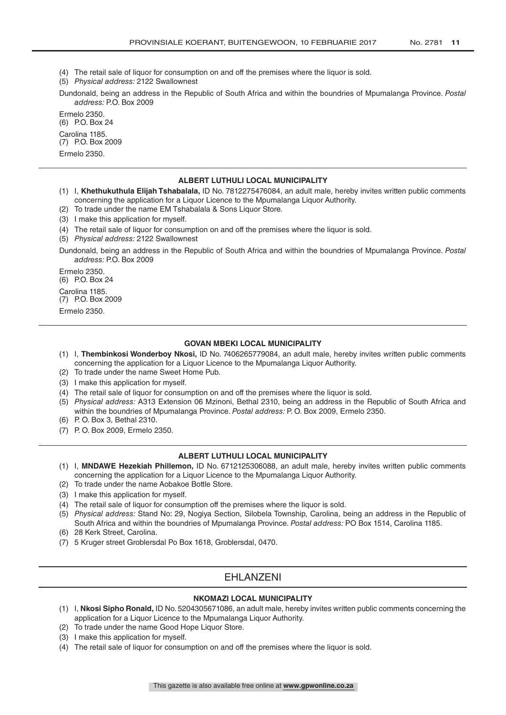- (4) The retail sale of liquor for consumption on and off the premises where the liquor is sold.
- (5) *Physical address:* 2122 Swallownest
- Dundonald, being an address in the Republic of South Africa and within the boundries of Mpumalanga Province. *Postal address:* P.O. Box 2009

Ermelo 2350.

(6) P.O. Box 24 Carolina 1185.

(7) P.O. Box 2009 Ermelo 2350.

#### **ALBERT LUTHULI LOCAL MUNICIPALITY**

- (1) I, **Khethukuthula Elijah Tshabalala,** ID No. 7812275476084, an adult male, hereby invites written public comments concerning the application for a Liquor Licence to the Mpumalanga Liquor Authority.
- (2) To trade under the name EM Tshabalala & Sons Liquor Store.
- (3) I make this application for myself.
- (4) The retail sale of liquor for consumption on and off the premises where the liquor is sold.
- (5) *Physical address:* 2122 Swallownest

Dundonald, being an address in the Republic of South Africa and within the boundries of Mpumalanga Province. *Postal address:* P.O. Box 2009

Ermelo 2350. (6) P.O. Box 24 Carolina 1185. (7) P.O. Box 2009

Ermelo 2350.

#### **GOVAN MBEKI LOCAL MUNICIPALITY**

- (1) I, **Thembinkosi Wonderboy Nkosi,** ID No. 7406265779084, an adult male, hereby invites written public comments concerning the application for a Liquor Licence to the Mpumalanga Liquor Authority.
- (2) To trade under the name Sweet Home Pub.
- (3) I make this application for myself.
- (4) The retail sale of liquor for consumption on and off the premises where the liquor is sold.
- (5) *Physical address:* A313 Extension 06 Mzinoni, Bethal 2310, being an address in the Republic of South Africa and within the boundries of Mpumalanga Province. *Postal address:* P. O. Box 2009, Ermelo 2350.
- (6) P. O. Box 3, Bethal 2310.
- (7) P. O. Box 2009, Ermelo 2350.

#### **ALBERT LUTHULI LOCAL MUNICIPALITY**

- (1) I, **MNDAWE Hezekiah Phillemon,** ID No. 6712125306088, an adult male, hereby invites written public comments concerning the application for a Liquor Licence to the Mpumalanga Liquor Authority.
- (2) To trade under the name Aobakoe Bottle Store.
- (3) I make this application for myself.
- (4) The retail sale of liquor for consumption off the premises where the liquor is sold.
- (5) *Physical address:* Stand No: 29, Nogiya Section, Silobela Township, Carolina, being an address in the Republic of South Africa and within the boundries of Mpumalanga Province. *Postal address:* PO Box 1514, Carolina 1185.
- (6) 28 Kerk Street, Carolina.
- (7) 5 Kruger street Groblersdal Po Box 1618, Groblersdal, 0470.

# **FHI ANZENI**

#### **NKOMAZI LOCAL MUNICIPALITY**

- (1) I, **Nkosi Sipho Ronald,** ID No. 5204305671086, an adult male, hereby invites written public comments concerning the application for a Liquor Licence to the Mpumalanga Liquor Authority.
- (2) To trade under the name Good Hope Liquor Store.
- (3) I make this application for myself.
- (4) The retail sale of liquor for consumption on and off the premises where the liquor is sold.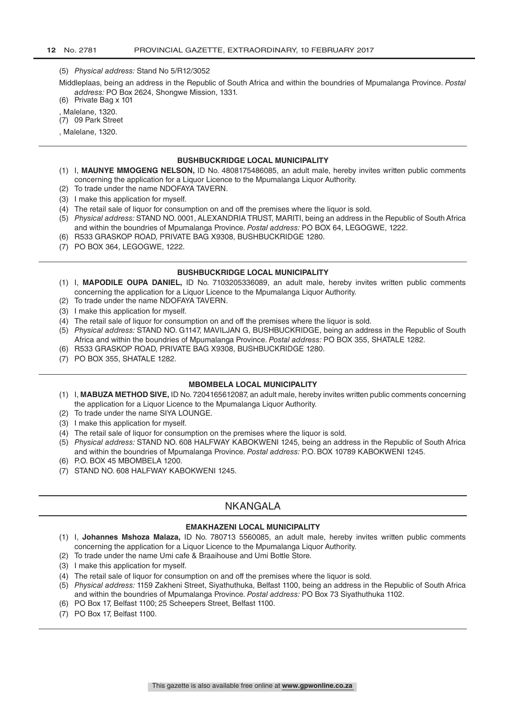#### (5) *Physical address:* Stand No 5/R12/3052

Middleplaas, being an address in the Republic of South Africa and within the boundries of Mpumalanga Province. *Postal address:* PO Box 2624, Shongwe Mission, 1331.

(6) Private Bag x 101

, Malelane, 1320.

(7) 09 Park Street

, Malelane, 1320.

#### **BUSHBUCKRIDGE LOCAL MUNICIPALITY**

- (1) I, **MAUNYE MMOGENG NELSON,** ID No. 4808175486085, an adult male, hereby invites written public comments concerning the application for a Liquor Licence to the Mpumalanga Liquor Authority.
- (2) To trade under the name NDOFAYA TAVERN.
- (3) I make this application for myself.
- (4) The retail sale of liquor for consumption on and off the premises where the liquor is sold.
- (5) *Physical address:* STAND NO. 0001, ALEXANDRIA TRUST, MARITI, being an address in the Republic of South Africa and within the boundries of Mpumalanga Province. *Postal address:* PO BOX 64, LEGOGWE, 1222.
- (6) R533 GRASKOP ROAD, PRIVATE BAG X9308, BUSHBUCKRIDGE 1280.
- (7) PO BOX 364, LEGOGWE, 1222.

#### **BUSHBUCKRIDGE LOCAL MUNICIPALITY**

- (1) I, **MAPODILE OUPA DANIEL,** ID No. 7103205336089, an adult male, hereby invites written public comments concerning the application for a Liquor Licence to the Mpumalanga Liquor Authority.
- (2) To trade under the name NDOFAYA TAVERN.
- (3) I make this application for myself.
- (4) The retail sale of liquor for consumption on and off the premises where the liquor is sold.
- (5) *Physical address:* STAND NO. G1147, MAVILJAN G, BUSHBUCKRIDGE, being an address in the Republic of South Africa and within the boundries of Mpumalanga Province. *Postal address:* PO BOX 355, SHATALE 1282.
- (6) R533 GRASKOP ROAD, PRIVATE BAG X9308, BUSHBUCKRIDGE 1280.
- (7) PO BOX 355, SHATALE 1282.

#### **MBOMBELA LOCAL MUNICIPALITY**

- (1) I, **MABUZA METHOD SIVE,** ID No. 7204165612087, an adult male, hereby invites written public comments concerning the application for a Liquor Licence to the Mpumalanga Liquor Authority.
- (2) To trade under the name SIYA LOUNGE.
- (3) I make this application for myself.
- (4) The retail sale of liquor for consumption on the premises where the liquor is sold.
- (5) *Physical address:* STAND NO. 608 HALFWAY KABOKWENI 1245, being an address in the Republic of South Africa and within the boundries of Mpumalanga Province. *Postal address:* P.O. BOX 10789 KABOKWENI 1245.
- (6) P.O. BOX 45 MBOMBELA 1200.
- (7) STAND NO. 608 HALFWAY KABOKWENI 1245.

# NKANGALA

#### **EMAKHAZENI LOCAL MUNICIPALITY**

- (1) I, **Johannes Mshoza Malaza,** ID No. 780713 5560085, an adult male, hereby invites written public comments concerning the application for a Liquor Licence to the Mpumalanga Liquor Authority.
- (2) To trade under the name Umi cafe & Braaihouse and Umi Bottle Store.
- (3) I make this application for myself.
- (4) The retail sale of liquor for consumption on and off the premises where the liquor is sold.
- (5) *Physical address:* 1159 Zakheni Street, Siyathuthuka, Belfast 1100, being an address in the Republic of South Africa and within the boundries of Mpumalanga Province. *Postal address:* PO Box 73 Siyathuthuka 1102.
- (6) PO Box 17, Belfast 1100; 25 Scheepers Street, Belfast 1100.
- (7) PO Box 17, Belfast 1100.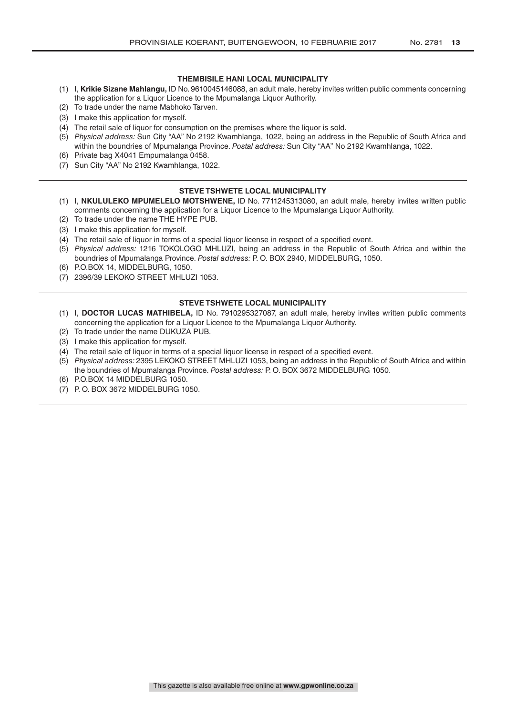# **THEMBISILE HANI LOCAL MUNICIPALITY**

- (1) I, **Krikie Sizane Mahlangu,** ID No. 9610045146088, an adult male, hereby invites written public comments concerning the application for a Liquor Licence to the Mpumalanga Liquor Authority.
- (2) To trade under the name Mabhoko Tarven.
- (3) I make this application for myself.
- (4) The retail sale of liquor for consumption on the premises where the liquor is sold.
- (5) *Physical address:* Sun City "AA" No 2192 Kwamhlanga, 1022, being an address in the Republic of South Africa and within the boundries of Mpumalanga Province. *Postal address:* Sun City "AA" No 2192 Kwamhlanga, 1022.
- (6) Private bag X4041 Empumalanga 0458.
- (7) Sun City "AA" No 2192 Kwamhlanga, 1022.

# **STEVE TSHWETE LOCAL MUNICIPALITY**

- (1) I, **NKULULEKO MPUMELELO MOTSHWENE,** ID No. 7711245313080, an adult male, hereby invites written public comments concerning the application for a Liquor Licence to the Mpumalanga Liquor Authority.
- (2) To trade under the name THE HYPE PUB.
- (3) I make this application for myself.
- (4) The retail sale of liquor in terms of a special liquor license in respect of a specified event.
- (5) *Physical address:* 1216 TOKOLOGO MHLUZI, being an address in the Republic of South Africa and within the boundries of Mpumalanga Province. *Postal address:* P. O. BOX 2940, MIDDELBURG, 1050.
- (6) P.O.BOX 14, MIDDELBURG, 1050.
- (7) 2396/39 LEKOKO STREET MHLUZI 1053.

# **STEVE TSHWETE LOCAL MUNICIPALITY**

- (1) I, **DOCTOR LUCAS MATHIBELA,** ID No. 7910295327087, an adult male, hereby invites written public comments concerning the application for a Liquor Licence to the Mpumalanga Liquor Authority.
- (2) To trade under the name DUKUZA PUB.
- (3) I make this application for myself.
- (4) The retail sale of liquor in terms of a special liquor license in respect of a specified event.
- (5) *Physical address:* 2395 LEKOKO STREET MHLUZI 1053, being an address in the Republic of South Africa and within the boundries of Mpumalanga Province. *Postal address:* P. O. BOX 3672 MIDDELBURG 1050.
- (6) P.O.BOX 14 MIDDELBURG 1050.
- (7) P. O. BOX 3672 MIDDELBURG 1050.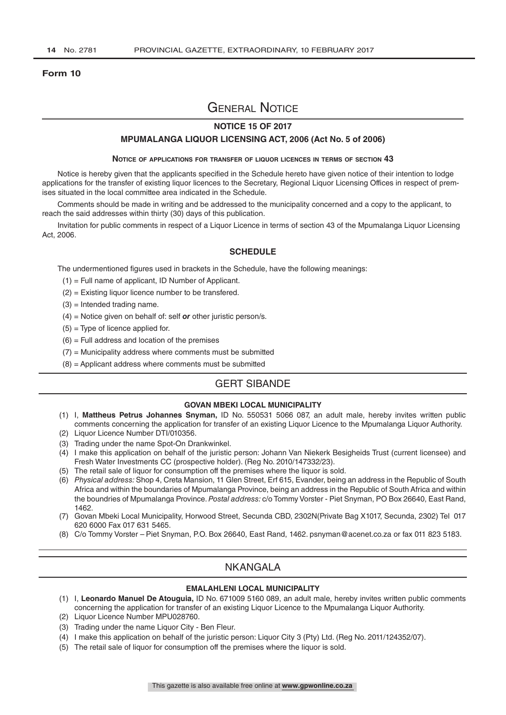## **Form 10**

# General Notice

# **NOTICE 15 OF 2017**

#### **MPUMALANGA LIQUOR LICENSING ACT, 2006 (Act No. 5 of 2006)**

#### **Notice of applications for transfer of liquor licences in terms of section 43**

Notice is hereby given that the applicants specified in the Schedule hereto have given notice of their intention to lodge applications for the transfer of existing liquor licences to the Secretary, Regional Liquor Licensing Offices in respect of premises situated in the local committee area indicated in the Schedule.

Comments should be made in writing and be addressed to the municipality concerned and a copy to the applicant, to reach the said addresses within thirty (30) days of this publication.

Invitation for public comments in respect of a Liquor Licence in terms of section 43 of the Mpumalanga Liquor Licensing Act, 2006.

## **SCHEDULE**

The undermentioned figures used in brackets in the Schedule, have the following meanings:

- (1) = Full name of applicant, ID Number of Applicant.
- (2) = Existing liquor licence number to be transfered.
- $(3)$  = Intended trading name.
- (4) = Notice given on behalf of: self *or* other juristic person/s.
- $(5)$  = Type of licence applied for.
- $(6)$  = Full address and location of the premises
- $(7)$  = Municipality address where comments must be submitted
- (8) = Applicant address where comments must be submitted

# GERT SIBANDE

## **GOVAN MBEKI LOCAL MUNICIPALITY**

- (1) I, **Mattheus Petrus Johannes Snyman,** ID No. 550531 5066 087, an adult male, hereby invites written public comments concerning the application for transfer of an existing Liquor Licence to the Mpumalanga Liquor Authority.
- (2) Liquor Licence Number DTI/010356.
- (3) Trading under the name Spot-On Drankwinkel.
- (4) I make this application on behalf of the juristic person: Johann Van Niekerk Besigheids Trust (current licensee) and Fresh Water Investments CC (prospective holder). (Reg No. 2010/147332/23).
- (5) The retail sale of liquor for consumption off the premises where the liquor is sold.
- (6) *Physical address:* Shop 4, Creta Mansion, 11 Glen Street, Erf 615, Evander, being an address in the Republic of South Africa and within the boundaries of Mpumalanga Province, being an address in the Republic of South Africa and within the boundries of Mpumalanga Province. *Postal address:* c/o Tommy Vorster - Piet Snyman, PO Box 26640, East Rand, 1462.
- (7) Govan Mbeki Local Municipality, Horwood Street, Secunda CBD, 2302N(Private Bag X1017, Secunda, 2302) Tel 017 620 6000 Fax 017 631 5465.
- (8) C/o Tommy Vorster Piet Snyman, P.O. Box 26640, East Rand, 1462. psnyman@acenet.co.za or fax 011 823 5183.

# NKANGALA

#### **EMALAHLENI LOCAL MUNICIPALITY**

- (1) I, **Leonardo Manuel De Atouguia,** ID No. 671009 5160 089, an adult male, hereby invites written public comments concerning the application for transfer of an existing Liquor Licence to the Mpumalanga Liquor Authority.
- (2) Liquor Licence Number MPU028760.
- (3) Trading under the name Liquor City Ben Fleur.
- (4) I make this application on behalf of the juristic person: Liquor City 3 (Pty) Ltd. (Reg No. 2011/124352/07).
- (5) The retail sale of liquor for consumption off the premises where the liquor is sold.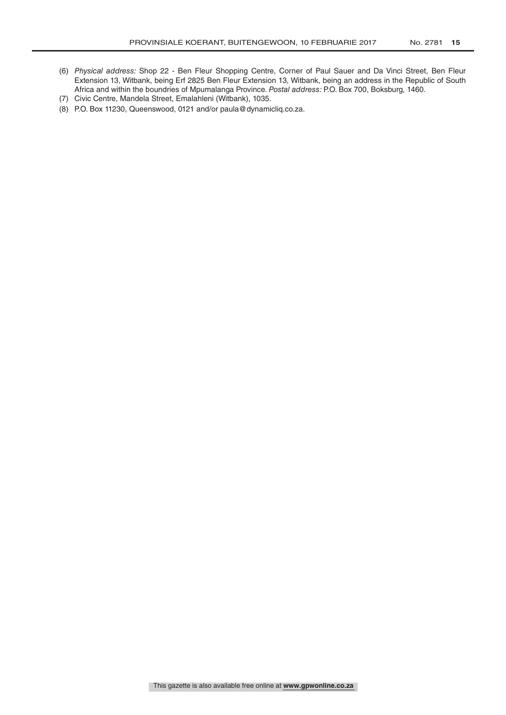- (6) *Physical address:* Shop 22 Ben Fleur Shopping Centre, Corner of Paul Sauer and Da Vinci Street, Ben Fleur Extension 13, Witbank, being Erf 2825 Ben Fleur Extension 13, Witbank, being an address in the Republic of South Africa and within the boundries of Mpumalanga Province. *Postal address:* P.O. Box 700, Boksburg, 1460.
- (7) Civic Centre, Mandela Street, Emalahleni (Witbank), 1035.
- (8) P.O. Box 11230, Queenswood, 0121 and/or paula@dynamicliq.co.za.